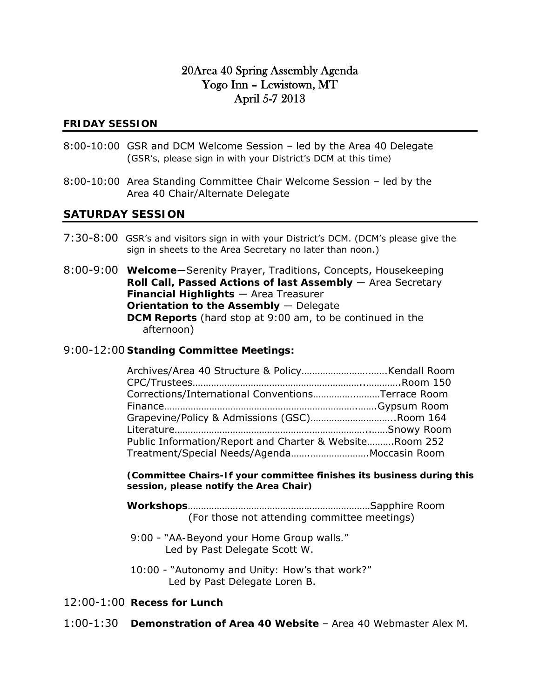# 20Area 40 Spring Assembly Agenda Yogo Inn – Lewistown, MT April 5-7 2013

#### **FRIDAY SESSION**

- 8:00-10:00 GSR and DCM Welcome Session led by the Area 40 Delegate (G*SR's, please sign in with your District's DCM at this time)*
- 8:00-10:00 Area Standing Committee Chair Welcome Session led by the Area 40 Chair/Alternate Delegate

#### **SATURDAY SESSION**

- 7:30-8:00 GSR's and visitors sign in with your District's DCM. (DCM's please give the sign in sheets to the Area Secretary no later than noon.)
- 8:00-9:00 **Welcome**―Serenity Prayer, Traditions, Concepts, Housekeeping **Roll Call, Passed Actions of last Assembly — Area Secretary Financial Highlights** ― Area Treasurer **Orientation to the Assembly** ― Delegate **DCM Reports** (hard stop at 9:00 am, to be continued in the afternoon)

#### 9:00-12:00 **Standing Committee Meetings:**

| Corrections/International ConventionsTerrace Room        |  |
|----------------------------------------------------------|--|
|                                                          |  |
|                                                          |  |
|                                                          |  |
| Public Information/Report and Charter & Website Room 252 |  |
| Treatment/Special Needs/Agenda Moccasin Room             |  |

*(Committee Chairs-If your committee finishes its business during this session, please notify the Area Chair)* 

**Workshops**……………………………………………………………Sapphire Room (For those not attending committee meetings)

 9:00 - "*AA-Beyond your Home Group walls.*" Led by Past Delegate Scott W.

 10:00 - "*Autonomy and Unity: How's that work?"* Led by Past Delegate Loren B.

12:00-1:00 **Recess for Lunch**

1:00-1:30 **Demonstration of Area 40 Website** – Area 40 Webmaster Alex M.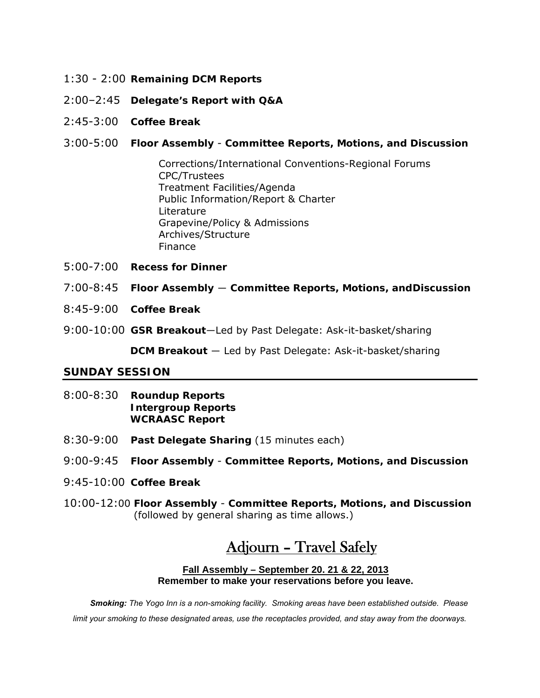- 1:30 2:00 **Remaining DCM Reports**
- 2:00–2:45 **Delegate's Report with Q&A**
- 2:45-3:00 **Coffee Break**
- 3:00-5:00 **Floor Assembly Committee Reports, Motions, and Discussion**

Corrections/International Conventions-Regional Forums CPC/Trustees Treatment Facilities/Agenda Public Information/Report & Charter Literature Grapevine/Policy & Admissions Archives/Structure Finance

- 5:00-7:00 **Recess for Dinner**
- 7:00-8:45 **Floor Assembly** ― **Committee Reports, Motions, and Discussion**
- 8:45-9:00 **Coffee Break**
- 9:00-10:00 **GSR Breakout**―Led by Past Delegate: Ask-it-basket/sharing

 **DCM Breakout** ― Led by Past Delegate: Ask-it-basket/sharing

#### **SUNDAY SESSION**

- 8:00-8:30 **Roundup Reports Intergroup Reports WCRAASC Report**
- 8:30-9:00 **Past Delegate Sharing** (15 minutes each)
- 9:00-9:45 **Floor Assembly Committee Reports, Motions, and Discussion**
- 9:45-10:00 **Coffee Break**
- 10:00-12:00 **Floor Assembly Committee Reports, Motions, and Discussion**  (followed by general sharing as time allows.)

# Adjourn – Travel Safely

#### **Fall Assembly – September 20. 21 & 22, 2013 Remember to make your reservations before you leave.**

 *Smoking: The Yogo Inn is a non-smoking facility. Smoking areas have been established outside. Please limit your smoking to these designated areas, use the receptacles provided, and stay away from the doorways.*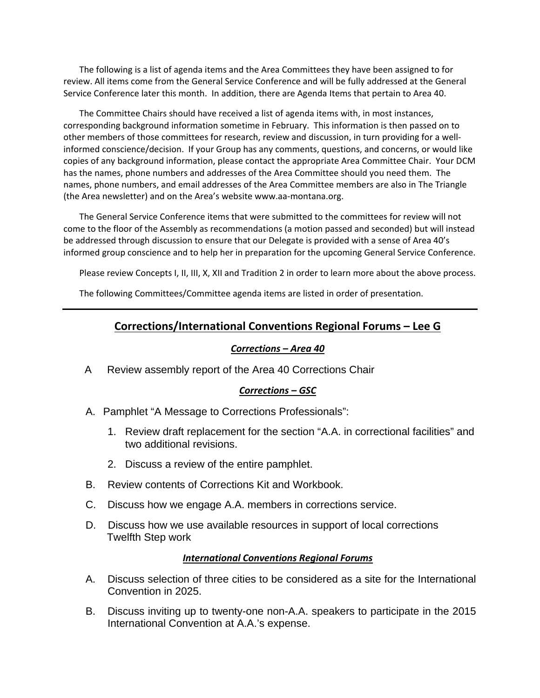The following is a list of agenda items and the Area Committees they have been assigned to for review. All items come from the General Service Conference and will be fully addressed at the General Service Conference later this month. In addition, there are Agenda Items that pertain to Area 40.

The Committee Chairs should have received a list of agenda items with, in most instances, corresponding background information sometime in February. This information is then passed on to other members of those committees for research, review and discussion, in turn providing for a well‐ informed conscience/decision. If your Group has any comments, questions, and concerns, or would like copies of any background information, please contact the appropriate Area Committee Chair. Your DCM has the names, phone numbers and addresses of the Area Committee should you need them. The names, phone numbers, and email addresses of the Area Committee members are also in The Triangle (the Area newsletter) and on the Area's website www.aa‐montana.org.

The General Service Conference items that were submitted to the committees for review will not come to the floor of the Assembly as recommendations (a motion passed and seconded) but will instead be addressed through discussion to ensure that our Delegate is provided with a sense of Area 40's informed group conscience and to help her in preparation for the upcoming General Service Conference.

Please review Concepts I, II, III, X, XII and Tradition 2 in order to learn more about the above process.

The following Committees/Committee agenda items are listed in order of presentation.

# **Corrections/International Conventions Regional Forums – Lee G**

#### *Corrections – Area 40*

A Review assembly report of the Area 40 Corrections Chair

#### *Corrections – GSC*

- A. Pamphlet "A Message to Corrections Professionals":
	- 1. Review draft replacement for the section "A.A. in correctional facilities" and two additional revisions.
	- 2. Discuss a review of the entire pamphlet.
- B. Review contents of Corrections Kit and Workbook.
- C. Discuss how we engage A.A. members in corrections service.
- D. Discuss how we use available resources in support of local corrections Twelfth Step work

#### *International Conventions Regional Forums*

- A. Discuss selection of three cities to be considered as a site for the International Convention in 2025.
- B. Discuss inviting up to twenty-one non-A.A. speakers to participate in the 2015 International Convention at A.A.'s expense.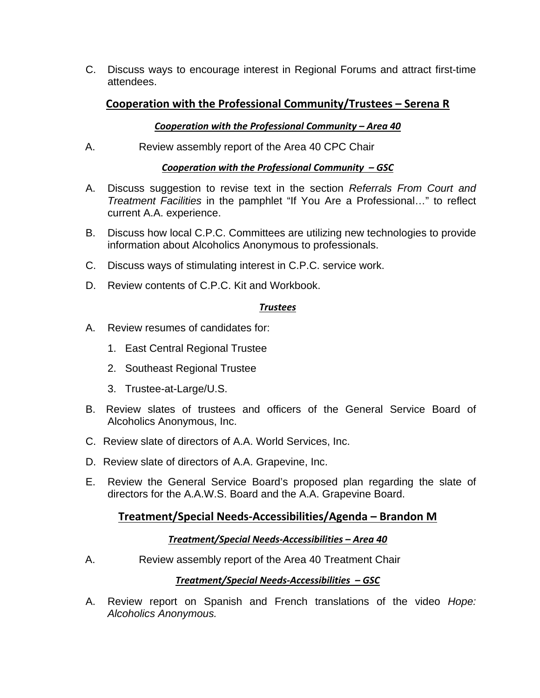C. Discuss ways to encourage interest in Regional Forums and attract first-time attendees.

# **Cooperation with the Professional Community/Trustees – Serena R**

## *Cooperation with the Professional Community – Area 40*

A. Review assembly report of the Area 40 CPC Chair

## *Cooperation with the Professional Community – GSC*

- A. Discuss suggestion to revise text in the section *Referrals From Court and Treatment Facilities* in the pamphlet "If You Are a Professional…" to reflect current A.A. experience.
- B. Discuss how local C.P.C. Committees are utilizing new technologies to provide information about Alcoholics Anonymous to professionals.
- C. Discuss ways of stimulating interest in C.P.C. service work.
- D. Review contents of C.P.C. Kit and Workbook.

## *Trustees*

- A. Review resumes of candidates for:
	- 1. East Central Regional Trustee
	- 2. Southeast Regional Trustee
	- 3. Trustee-at-Large/U.S.
- B. Review slates of trustees and officers of the General Service Board of Alcoholics Anonymous, Inc.
- C. Review slate of directors of A.A. World Services, Inc.
- D. Review slate of directors of A.A. Grapevine, Inc.
- E. Review the General Service Board's proposed plan regarding the slate of directors for the A.A.W.S. Board and the A.A. Grapevine Board.

# **Treatment/Special Needs‐Accessibilities/Agenda – Brandon M**

## *Treatment/Special Needs‐Accessibilities – Area 40*

A. Review assembly report of the Area 40 Treatment Chair

## *Treatment/Special Needs‐Accessibilities – GSC*

A. Review report on Spanish and French translations of the video *Hope: Alcoholics Anonymous.*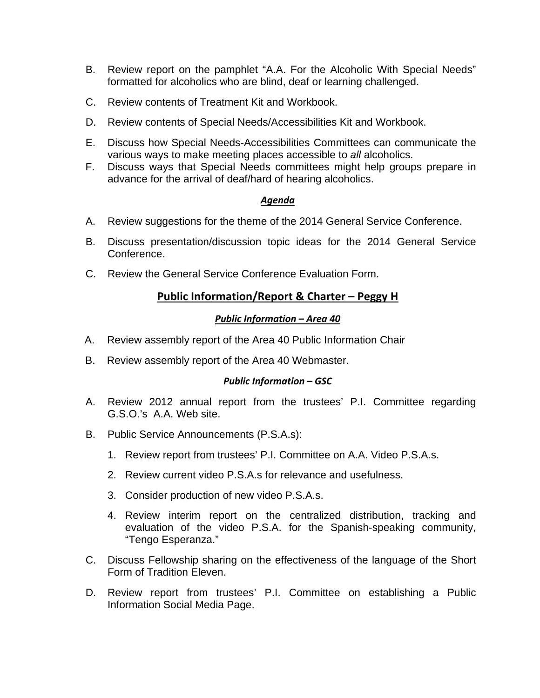- B. Review report on the pamphlet "A.A. For the Alcoholic With Special Needs" formatted for alcoholics who are blind, deaf or learning challenged.
- C. Review contents of Treatment Kit and Workbook.
- D. Review contents of Special Needs/Accessibilities Kit and Workbook.
- E. Discuss how Special Needs-Accessibilities Committees can communicate the various ways to make meeting places accessible to *all* alcoholics.
- F. Discuss ways that Special Needs committees might help groups prepare in advance for the arrival of deaf/hard of hearing alcoholics.

## *Agenda*

- A. Review suggestions for the theme of the 2014 General Service Conference.
- B. Discuss presentation/discussion topic ideas for the 2014 General Service Conference.
- C. Review the General Service Conference Evaluation Form.

# **Public Information/Report & Charter – Peggy H**

## *Public Information – Area 40*

- A. Review assembly report of the Area 40 Public Information Chair
- B. Review assembly report of the Area 40 Webmaster.

## *Public Information – GSC*

- A. Review 2012 annual report from the trustees' P.I. Committee regarding G.S.O.'s A.A. Web site.
- B. Public Service Announcements (P.S.A.s):
	- 1. Review report from trustees' P.I. Committee on A.A. Video P.S.A.s.
	- 2. Review current video P.S.A.s for relevance and usefulness.
	- 3. Consider production of new video P.S.A.s.
	- 4. Review interim report on the centralized distribution, tracking and evaluation of the video P.S.A. for the Spanish-speaking community, "Tengo Esperanza."
- C. Discuss Fellowship sharing on the effectiveness of the language of the Short Form of Tradition Eleven.
- D. Review report from trustees' P.I. Committee on establishing a Public Information Social Media Page.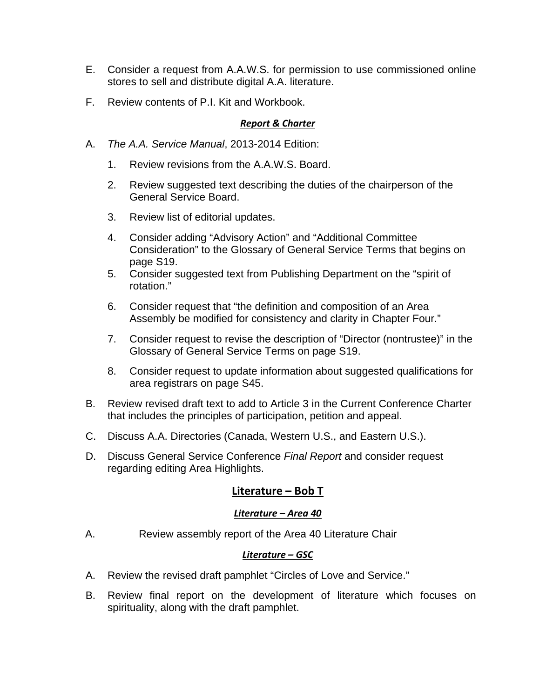- E. Consider a request from A.A.W.S. for permission to use commissioned online stores to sell and distribute digital A.A. literature.
- F. Review contents of P.I. Kit and Workbook.

## *Report & Charter*

- A. *The A.A. Service Manual*, 2013-2014 Edition:
	- 1. Review revisions from the A.A.W.S. Board.
	- 2. Review suggested text describing the duties of the chairperson of the General Service Board.
	- 3. Review list of editorial updates.
	- 4. Consider adding "Advisory Action" and "Additional Committee Consideration" to the Glossary of General Service Terms that begins on page S19.
	- 5. Consider suggested text from Publishing Department on the "spirit of rotation."
	- 6. Consider request that "the definition and composition of an Area Assembly be modified for consistency and clarity in Chapter Four."
	- 7. Consider request to revise the description of "Director (nontrustee)" in the Glossary of General Service Terms on page S19.
	- 8. Consider request to update information about suggested qualifications for area registrars on page S45.
- B. Review revised draft text to add to Article 3 in the Current Conference Charter that includes the principles of participation, petition and appeal.
- C. Discuss A.A. Directories (Canada, Western U.S., and Eastern U.S.).
- D. Discuss General Service Conference *Final Report* and consider request regarding editing Area Highlights.

# **Literature – Bob T**

## *Literature – Area 40*

A. Review assembly report of the Area 40 Literature Chair

## *Literature – GSC*

- A. Review the revised draft pamphlet "Circles of Love and Service."
- B. Review final report on the development of literature which focuses on spirituality, along with the draft pamphlet.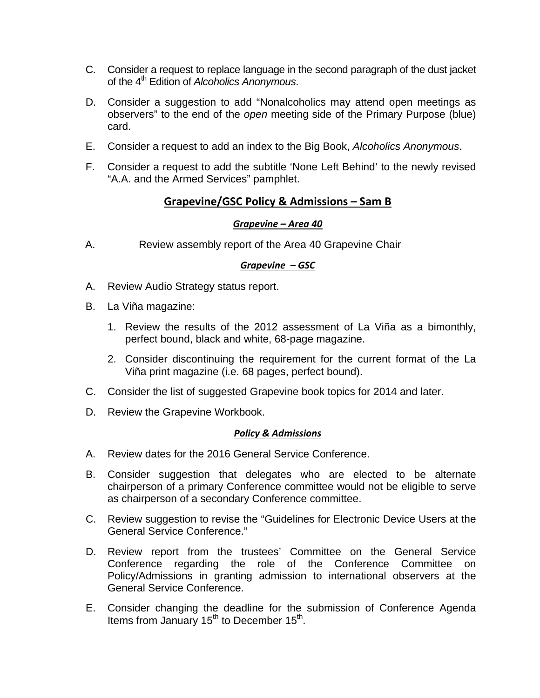- C. Consider a request to replace language in the second paragraph of the dust jacket of the 4th Edition of *Alcoholics Anonymous*.
- D. Consider a suggestion to add "Nonalcoholics may attend open meetings as observers" to the end of the *open* meeting side of the Primary Purpose (blue) card.
- E. Consider a request to add an index to the Big Book, *Alcoholics Anonymous*.
- F. Consider a request to add the subtitle 'None Left Behind' to the newly revised "A.A. and the Armed Services" pamphlet.

## **Grapevine/GSC Policy & Admissions – Sam B**

#### *Grapevine – Area 40*

A. Review assembly report of the Area 40 Grapevine Chair

#### *Grapevine – GSC*

- A. Review Audio Strategy status report.
- B. La Viña magazine:
	- 1. Review the results of the 2012 assessment of La Viña as a bimonthly, perfect bound, black and white, 68-page magazine.
	- 2. Consider discontinuing the requirement for the current format of the La Viña print magazine (i.e. 68 pages, perfect bound).
- C. Consider the list of suggested Grapevine book topics for 2014 and later.
- D. Review the Grapevine Workbook.

#### *Policy & Admissions*

- A. Review dates for the 2016 General Service Conference.
- B. Consider suggestion that delegates who are elected to be alternate chairperson of a primary Conference committee would not be eligible to serve as chairperson of a secondary Conference committee.
- C. Review suggestion to revise the "Guidelines for Electronic Device Users at the General Service Conference."
- D. Review report from the trustees' Committee on the General Service Conference regarding the role of the Conference Committee on Policy/Admissions in granting admission to international observers at the General Service Conference.
- E. Consider changing the deadline for the submission of Conference Agenda Items from January  $15^{th}$  to December  $15^{th}$ .